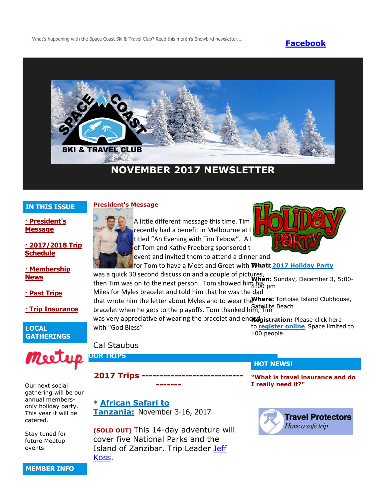What's happening with the Space Coast Ski & Travel Club? Read this month's Snowbird newsletter.... **[Facebook](https://www.facebook.com/pages/Space-Coast-Ski-Club/137991863341)** 



# **NOVEMBER 2017 NEWSLETTER**

# **IN THIS ISSUE**

**[· President's](http://spacecoastskiclub.com/Admin/Settings/Emails/EmailContentProvider.aspx?emailId=64962117#anchor1)  [Message](http://spacecoastskiclub.com/Admin/Settings/Emails/EmailContentProvider.aspx?emailId=64962117#anchor1)**

#### **[· 2017/2018 Trip](http://spacecoastskiclub.com/Admin/Settings/Emails/EmailContentProvider.aspx?emailId=64962117#anchor2)  [Schedule](http://spacecoastskiclub.com/Admin/Settings/Emails/EmailContentProvider.aspx?emailId=64962117#anchor2)**

**[· Membership](http://spacecoastskiclub.com/Admin/Settings/Emails/EmailContentProvider.aspx?emailId=64962117#anchor3)  [News](http://spacecoastskiclub.com/Admin/Settings/Emails/EmailContentProvider.aspx?emailId=64962117#anchor3)**

**[· Past Trips](http://spacecoastskiclub.com/Admin/Settings/Emails/EmailContentProvider.aspx?emailId=64962117#anchor4)**

**[· Trip Insurance](http://spacecoastskiclub.com/Admin/Settings/Emails/EmailContentProvider.aspx?emailId=64962117#anchor3)**

**LOCAL GATHERINGS**



Our next social gathering will be our annual membersonly holiday party. This year it will be catered.

Stay tuned for future Meetup events.



A little different message this time. Tim recently had a benefit in Melbourne at F titled "An Evening with Tim Tebow". A f of Tom and Kathy Freeberg sponsored the event and invited them to attend a dinner and



for Tom to have a Meet and Greet with Whatt [2017 Holiday Party](http://spacecoastskiclub.com/event-2670219)

was a quick 30 second discussion and a couple of pictures, **When:** Sunday, December 3, 5:00 then Tim was on to the next person. Tom showed him  $\frac{1}{100}$  pm

Miles for Myles bracelet and told him that he was the dad that wrote him the letter about Myles and to wear the **Where:** Tortoise Island Clubhouse, bracelet when he gets to the playoffs. Tom thanked him, Tim Satellite Beach

was very appreciative of wearing the bracelet and endredgistration: Please click here with "God Bless" to **[register online](http://spacecoastskiclub.com/event-2670219)**. Space limited to 100 people.

# Cal Staubus

**OUR TRIPS**

**2017 Trips ---**

**\* [African Safari to](http://spacecoastskiclub.com/event-2313660)  [Tanzania:](http://spacecoastskiclub.com/event-2313660)** November 3-16, 2017

**(SOLD OUT)** This 14-day adventure will cover five National Parks and the Island of Zanzibar. Trip Leader [Jeff](mailto:kaoshome@earthlink.net)  [Koss.](mailto:kaoshome@earthlink.net)

**-------**

# **HOT NEWS!**

**"What is travel insurance and do I really need it?"**



**MEMBER INFO**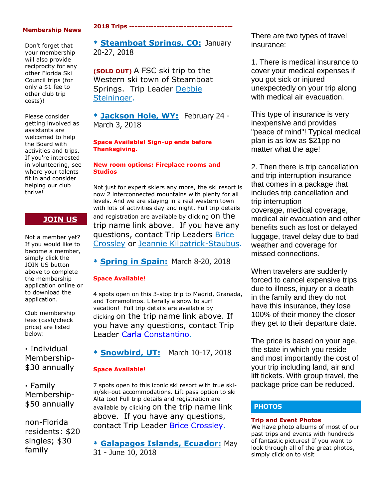#### **Membership News**

Don't forget that your membership will also provide reciprocity for any other Florida Ski Council trips (for only a \$1 fee to other club trip costs)!

Please consider getting involved as assistants are welcomed to help the Board with activities and trips. If you're interested in volunteering, see where your talents fit in and consider helping our club thrive!

# **[JOIN US](http://spacecoastskiclub.com/Join)**

Not a member yet? If you would like to become a member, simply click the JOIN US button above to complete the membership application online or to download the application.

Club membership fees (cash/check price) are listed below:

**·** Individual Membership- \$30 annually

**·** Family Membership- \$50 annually

non-Florida residents: \$20 singles; \$30 family

#### **2018 Trips --------------------------------------**

**\* [Steamboat Springs, CO:](http://spacecoastskiclub.com/event-2594526)** January 20-27, 2018

**(SOLD OUT)** A FSC ski trip to the Western ski town of Steamboat Springs. Trip Leader [Debbie](mailto:dsteininger@cfl.rr.com)  [Steininger.](mailto:dsteininger@cfl.rr.com)

**\* [Jackson Hole, WY:](http://spacecoastskiclub.com/event-2579402)** February 24 - March 3, 2018

#### **Space Available! Sign-up ends before Thanksgiving.**

#### **New room options: Fireplace rooms and Studios**

Not just for expert skiers any more, the ski resort is now 2 interconnected mountains with plenty for all levels. And we are staying in a real western town with lots of activities day and night. Full trip details and registration are available by clicking on the trip name link above. If you have any questions, contact Trip Leaders Brice [Crossley](mailto:Brice@spacecoastskiclub.com) or [Jeannie Kilpatrick-Staubus.](mailto:Jeannie@spacecoastskiclub.com)

**\* [Spring in Spain:](http://spacecoastskiclub.com/event-2577968)** March 8-20, 2018

### **Space Available!**

4 spots open on this 3-stop trip to Madrid, Granada, and Torremolinos. Literally a snow to surf vacation! Full trip details are available by clicking on the trip name link above. If you have any questions, contact Trip Leader [Carla Constantino.](mailto:Carla@SpaceCoastSkiClub.com)

**\* [Snowbird, UT:](http://spacecoastskiclub.com/event-2620390)** March 10-17, 2018

### **Space Available!**

7 spots open to this iconic ski resort with true skiin/ski-out accommodations. Lift pass option to ski Alta too! Full trip details and registration are available by clicking on the trip name link above. If you have any questions, contact Trip Leader [Brice Crossley.](mailto:Brice@spacecoastskiclub.com)

**\* [Galapagos Islands, Ecuador:](http://spacecoastskiclub.com/event-2622303)** May 31 - June 10, 2018

There are two types of travel insurance:

1. There is medical insurance to cover your medical expenses if you got sick or injured unexpectedly on your trip along with medical air evacuation.

This type of insurance is very inexpensive and provides "peace of mind"! Typical medical plan is as low as \$21pp no matter what the age!

2. Then there is trip cancellation and trip interruption insurance that comes in a package that includes trip cancellation and trip interruption coverage, medical coverage, medical air evacuation and other benefits such as lost or delayed luggage, travel delay due to bad weather and coverage for missed connections.

When travelers are suddenly forced to cancel expensive trips due to illness, injury or a death in the family and they do not have this insurance, they lose 100% of their money the closer they get to their departure date.

The price is based on your age, the state in which you reside and most importantly the cost of your trip including land, air and lift tickets. With group travel, the package price can be reduced.

# **PHOTOS**

#### **Trip and Event Photos**

We have photo albums of most of our past trips and events with hundreds of fantastic pictures! If you want to look through all of the great photos, simply click on to visit